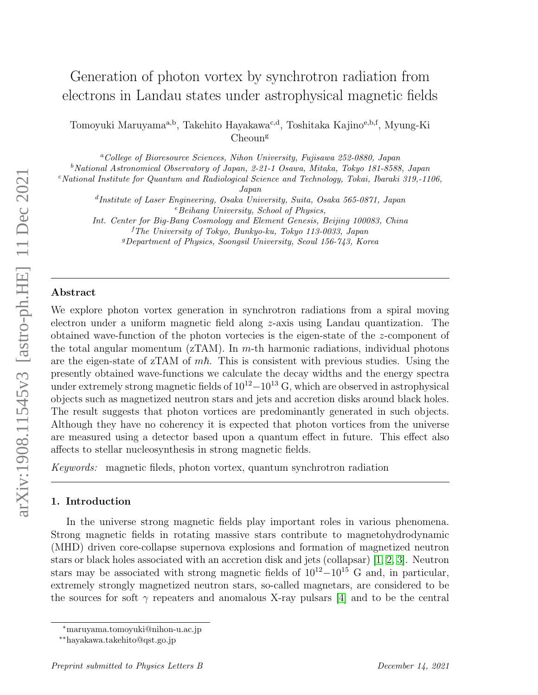# Generation of photon vortex by synchrotron radiation from electrons in Landau states under astrophysical magnetic fields

Tomoyuki Maruyama<sup>a,b</sup>, Takehito Hayakawa<sup>c,d</sup>, Toshitaka Kajino<sup>e,b,f</sup>, Myung-Ki  $Cheoun<sup>g</sup>$ 

<sup>a</sup>College of Bioresource Sciences, Nihon University, Fujisawa 252-0880, Japan <sup>b</sup>National Astronomical Observatory of Japan, 2-21-1 Osawa, Mitaka, Tokyo 181-8588, Japan

<sup>c</sup>National Institute for Quantum and Radiological Science and Technology, Tokai, Ibaraki 319,-1106,

Japan

d Institute of Laser Engineering, Osaka University, Suita, Osaka 565-0871, Japan  $e$ Beihang University, School of Physics,

Int. Center for Big-Bang Cosmology and Element Genesis, Beijing 100083, China <sup>f</sup>The University of Tokyo, Bunkyo-ku, Tokyo 113-0033, Japan

<sup>g</sup>Department of Physics, Soongsil University, Seoul 156-743, Korea

### Abstract

We explore photon vortex generation in synchrotron radiations from a spiral moving electron under a uniform magnetic field along z-axis using Landau quantization. The obtained wave-function of the photon vortecies is the eigen-state of the z-component of the total angular momentum  $(ZTAM)$ . In m-th harmonic radiations, individual photons are the eigen-state of zTAM of  $m\hbar$ . This is consistent with previous studies. Using the presently obtained wave-functions we calculate the decay widths and the energy spectra under extremely strong magnetic fields of  $10^{12}-10^{13}$  G, which are observed in astrophysical objects such as magnetized neutron stars and jets and accretion disks around black holes. The result suggests that photon vortices are predominantly generated in such objects. Although they have no coherency it is expected that photon vortices from the universe are measured using a detector based upon a quantum effect in future. This effect also affects to stellar nucleosynthesis in strong magnetic fields.

Keywords: magnetic fileds, photon vortex, quantum synchrotron radiation

# 1. Introduction

In the universe strong magnetic fields play important roles in various phenomena. Strong magnetic fields in rotating massive stars contribute to magnetohydrodynamic (MHD) driven core-collapse supernova explosions and formation of magnetized neutron stars or black holes associated with an accretion disk and jets (collapsar) [\[1,](#page-8-0) [2,](#page-8-1) [3\]](#page-8-2). Neutron stars may be associated with strong magnetic fields of  $10^{12}-10^{15}$  G and, in particular, extremely strongly magnetized neutron stars, so-called magnetars, are considered to be the sources for soft  $\gamma$  repeaters and anomalous X-ray pulsars [\[4\]](#page-8-3) and to be the central

<sup>∗</sup>maruyama.tomoyuki@nihon-u.ac.jp

<sup>∗∗</sup>hayakawa.takehito@qst.go.jp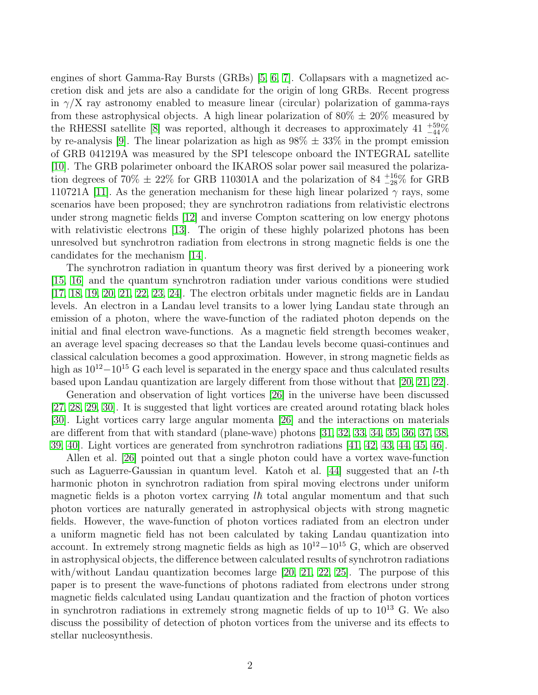engines of short Gamma-Ray Bursts (GRBs) [\[5,](#page-8-4) [6,](#page-8-5) [7\]](#page-9-0). Collapsars with a magnetized accretion disk and jets are also a candidate for the origin of long GRBs. Recent progress in  $\gamma/X$  ray astronomy enabled to measure linear (circular) polarization of gamma-rays from these astrophysical objects. A high linear polarization of  $80\% \pm 20\%$  measured by the RHESSI satellite [\[8\]](#page-9-1) was reported, although it decreases to approximately  $41\text{ }^{+59}_{-44}\%$ by re-analysis [\[9\]](#page-9-2). The linear polarization as high as  $98\% \pm 33\%$  in the prompt emission of GRB 041219A was measured by the SPI telescope onboard the INTEGRAL satellite [\[10\]](#page-9-3). The GRB polarimeter onboard the IKAROS solar power sail measured the polarization degrees of 70%  $\pm$  22% for GRB 110301A and the polarization of 84  $^{+16}_{-28}$ % for GRB 110721A [\[11\]](#page-9-4). As the generation mechanism for these high linear polarized  $\gamma$  rays, some scenarios have been proposed; they are synchrotron radiations from relativistic electrons under strong magnetic fields [\[12\]](#page-9-5) and inverse Compton scattering on low energy photons with relativistic electrons [\[13\]](#page-9-6). The origin of these highly polarized photons has been unresolved but synchrotron radiation from electrons in strong magnetic fields is one the candidates for the mechanism [\[14\]](#page-9-7).

The synchrotron radiation in quantum theory was first derived by a pioneering work [\[15,](#page-9-8) [16\]](#page-9-9) and the quantum synchrotron radiation under various conditions were studied [\[17,](#page-9-10) [18,](#page-9-11) [19,](#page-9-12) [20,](#page-9-13) [21,](#page-9-14) [22,](#page-9-15) [23,](#page-9-16) [24\]](#page-10-0). The electron orbitals under magnetic fields are in Landau levels. An electron in a Landau level transits to a lower lying Landau state through an emission of a photon, where the wave-function of the radiated photon depends on the initial and final electron wave-functions. As a magnetic field strength becomes weaker, an average level spacing decreases so that the Landau levels become quasi-continues and classical calculation becomes a good approximation. However, in strong magnetic fields as high as  $10^{12}-10^{15}$  G each level is separated in the energy space and thus calculated results based upon Landau quantization are largely different from those without that [\[20,](#page-9-13) [21,](#page-9-14) [22\]](#page-9-15).

Generation and observation of light vortices [\[26\]](#page-10-1) in the universe have been discussed [\[27,](#page-10-2) [28,](#page-10-3) [29,](#page-10-4) [30\]](#page-10-5). It is suggested that light vortices are created around rotating black holes [\[30\]](#page-10-5). Light vortices carry large angular momenta [\[26\]](#page-10-1) and the interactions on materials are different from that with standard (plane-wave) photons [\[31,](#page-10-6) [32,](#page-10-7) [33,](#page-10-8) [34,](#page-10-9) [35,](#page-10-10) [36,](#page-10-11) [37,](#page-10-12) [38,](#page-10-13) [39,](#page-10-14) [40\]](#page-11-0). Light vortices are generated from synchrotron radiations [\[41,](#page-11-1) [42,](#page-11-2) [43,](#page-11-3) [44,](#page-11-4) [45,](#page-11-5) [46\]](#page-11-6).

Allen et al. [\[26\]](#page-10-1) pointed out that a single photon could have a vortex wave-function such as Laguerre-Gaussian in quantum level. Katoh et al.  $[44]$  suggested that an *l*-th harmonic photon in synchrotron radiation from spiral moving electrons under uniform magnetic fields is a photon vortex carrying  $l\hbar$  total angular momentum and that such photon vortices are naturally generated in astrophysical objects with strong magnetic fields. However, the wave-function of photon vortices radiated from an electron under a uniform magnetic field has not been calculated by taking Landau quantization into account. In extremely strong magnetic fields as high as  $10^{12}-10^{15}$  G, which are observed in astrophysical objects, the difference between calculated results of synchrotron radiations with/without Landau quantization becomes large [\[20,](#page-9-13) [21,](#page-9-14) [22,](#page-9-15) [25\]](#page-10-15). The purpose of this paper is to present the wave-functions of photons radiated from electrons under strong magnetic fields calculated using Landau quantization and the fraction of photon vortices in synchrotron radiations in extremely strong magnetic fields of up to  $10^{13}$  G. We also discuss the possibility of detection of photon vortices from the universe and its effects to stellar nucleosynthesis.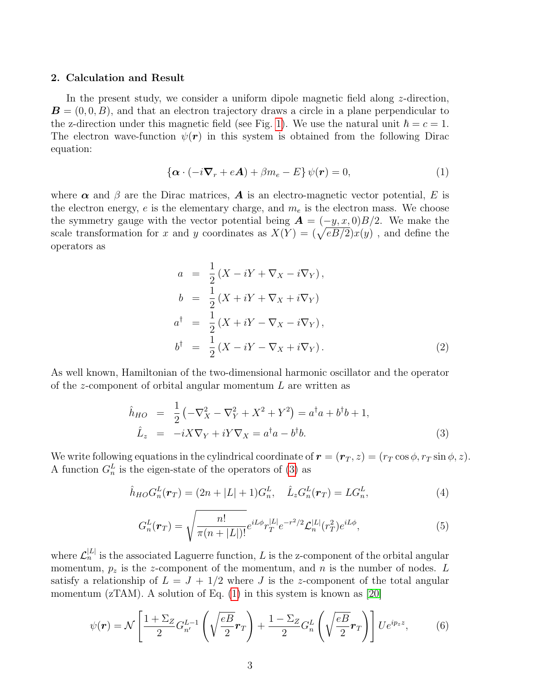### 2. Calculation and Result

In the present study, we consider a uniform dipole magnetic field along  $z$ -direction,  $\mathbf{B} = (0, 0, B)$ , and that an electron trajectory draws a circle in a plane perpendicular to the z-direction under this magnetic field (see Fig. [1\)](#page-13-0). We use the natural unit  $\hbar = c = 1$ . The electron wave-function  $\psi(\mathbf{r})$  in this system is obtained from the following Dirac equation:

<span id="page-2-1"></span>
$$
\{\boldsymbol{\alpha} \cdot (-i\boldsymbol{\nabla}_r + e\boldsymbol{A}) + \beta m_e - E\} \psi(\boldsymbol{r}) = 0, \tag{1}
$$

where  $\alpha$  and  $\beta$  are the Dirac matrices, **A** is an electro-magnetic vector potential, E is the electron energy, e is the elementary charge, and  $m_e$  is the electron mass. We choose the symmetry gauge with the vector potential being  $\mathbf{A} = (-y, x, 0)B/2$ . We make the scale transformation for x and y coordinates as  $X(Y) = (\sqrt{eB/2})x(y)$ , and define the operators as

$$
a = \frac{1}{2} (X - iY + \nabla_X - i\nabla_Y),
$$
  
\n
$$
b = \frac{1}{2} (X + iY + \nabla_X + i\nabla_Y)
$$
  
\n
$$
a^{\dagger} = \frac{1}{2} (X + iY - \nabla_X - i\nabla_Y),
$$
  
\n
$$
b^{\dagger} = \frac{1}{2} (X - iY - \nabla_X + i\nabla_Y).
$$
\n(2)

As well known, Hamiltonian of the two-dimensional harmonic oscillator and the operator of the z-component of orbital angular momentum L are written as

<span id="page-2-0"></span>
$$
\hat{h}_{HO} = \frac{1}{2} \left( -\nabla_X^2 - \nabla_Y^2 + X^2 + Y^2 \right) = a^{\dagger} a + b^{\dagger} b + 1, \n\hat{L}_z = -i X \nabla_Y + i Y \nabla_X = a^{\dagger} a - b^{\dagger} b.
$$
\n(3)

We write following equations in the cylindrical coordinate of  $\mathbf{r} = (\mathbf{r}_T, z) = (r_T \cos \phi, r_T \sin \phi, z)$ . A function  $G_n^L$  is the eigen-state of the operators of [\(3\)](#page-2-0) as

$$
\hat{h}_{HO}G_n^L(\mathbf{r}_T) = (2n + |L| + 1)G_n^L, \quad \hat{L}_z G_n^L(\mathbf{r}_T) = LG_n^L,
$$
\n(4)

$$
G_n^L(\mathbf{r}_T) = \sqrt{\frac{n!}{\pi (n+|L|)!}} e^{iL\phi} r_T^{|L|} e^{-r^2/2} \mathcal{L}_n^{|L|} (r_T^2) e^{iL\phi},\tag{5}
$$

where  $\mathcal{L}_n^{|L|}$  is the associated Laguerre function, L is the z-component of the orbital angular momentum,  $p_z$  is the z-component of the momentum, and n is the number of nodes. L satisfy a relationship of  $L = J + 1/2$  where J is the z-component of the total angular momentum (zTAM). A solution of Eq.  $(1)$  in this system is known as [\[20\]](#page-9-13)

<span id="page-2-2"></span>
$$
\psi(\mathbf{r}) = \mathcal{N}\left[\frac{1+\Sigma_Z}{2}G_{n'}^{L-1}\left(\sqrt{\frac{eB}{2}}\mathbf{r}_T\right) + \frac{1-\Sigma_Z}{2}G_n^L\left(\sqrt{\frac{eB}{2}}\mathbf{r}_T\right)\right]Ue^{ip_zz},\tag{6}
$$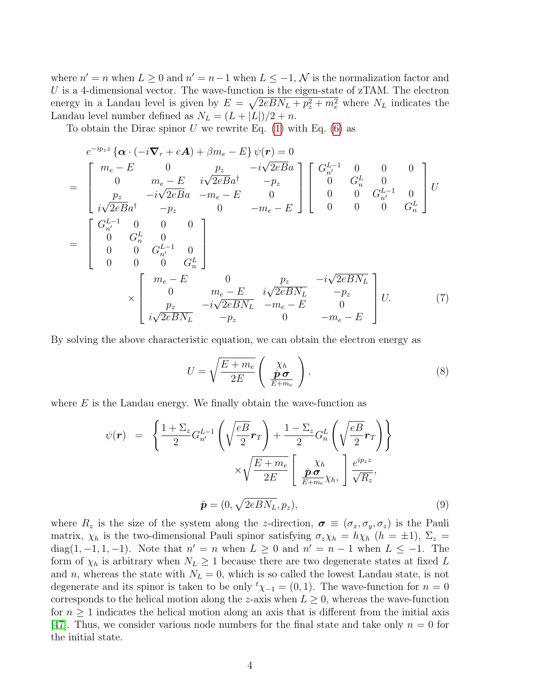where  $n' = n$  when  $L \geq 0$  and  $n' = n - 1$  when  $L \leq -1$ ,  $\mathcal{N}$  is the normalization factor and U is a 4-dimensional vector. The wave-function is the eigen-state of  $zTAM$ . The electron energy in a Landau level is given by  $E = \sqrt{2eBN_L + p_z^2 + m_e^2}$  where  $N_L$  indicates the Landau level number defined as  $N_L = (L + |L|)/2 + n$ .

To obtain the Dirac spinor U we rewrite Eq.  $(1)$  with Eq.  $(6)$  as

$$
e^{-ip_z z} \{ \alpha \cdot (-i\nabla_r + eA) + \beta m_e - E \} \psi(r) = 0
$$
\n
$$
= \begin{bmatrix} m_e - E & 0 & p_z & -i\sqrt{2eBa} \\ 0 & m_e - E & i\sqrt{2eBa} & -p_z \\ p_z & -i\sqrt{2eBa} & -m_e - E & 0 \\ i\sqrt{2eBa} & -p_z & 0 & -m_e - E \end{bmatrix} \begin{bmatrix} G_n^{L-1} & 0 & 0 & 0 \\ 0 & G_n^L & 0 & 0 \\ 0 & 0 & G_n^{L-1} & 0 \\ 0 & 0 & 0 & G_n^L \end{bmatrix} U
$$
\n
$$
= \begin{bmatrix} G_n^{L-1} & 0 & 0 & 0 \\ 0 & G_n^L & 0 & 0 \\ 0 & 0 & 0 & G_n^L \end{bmatrix}
$$
\n
$$
\times \begin{bmatrix} m_e - E & 0 & p_z & -i\sqrt{2eBN_L} \\ 0 & m_e - E & i\sqrt{2eBN_L} & -p_z \\ i\sqrt{2eBN_L} & -p_z & 0 & -m_e - E \end{bmatrix} U.
$$
\n(7)

By solving the above characteristic equation, we can obtain the electron energy as

$$
U = \sqrt{\frac{E + m_e}{2E}} \left( \frac{\chi_h}{\frac{\tilde{\mathbf{p}} \cdot \boldsymbol{\sigma}}{E + m_e}} \right), \tag{8}
$$

where  $E$  is the Landau energy. We finally obtain the wave-function as

<span id="page-3-0"></span>
$$
\psi(\mathbf{r}) = \left\{ \frac{1 + \Sigma_z}{2} G_{n'}^{L-1} \left( \sqrt{\frac{eB}{2}} \mathbf{r}_T \right) + \frac{1 - \Sigma_z}{2} G_n^L \left( \sqrt{\frac{eB}{2}} \mathbf{r}_T \right) \right\} \times \sqrt{\frac{E + m_e}{2E}} \left[ \frac{\chi_h}{\frac{\tilde{\mathbf{p}} \cdot \boldsymbol{\sigma}}{E + m_e} \chi_h}, \frac{e^{ip_z z}}{\sqrt{R_z}}, \tilde{\mathbf{p}} = (0, \sqrt{2eBN_L}, p_z), \tag{9}
$$

where  $R_z$  is the size of the system along the z-direction,  $\sigma \equiv (\sigma_x, \sigma_y, \sigma_z)$  is the Pauli matrix,  $\chi_h$  is the two-dimensional Pauli spinor satisfying  $\sigma_z \chi_h = h \chi_h$  ( $h = \pm 1$ ),  $\Sigma_z =$ diag(1, -1, 1, -1). Note that  $n' = n$  when  $L \geq 0$  and  $n' = n - 1$  when  $L \leq -1$ . The form of  $\chi_h$  is arbitrary when  $N_L \geq 1$  because there are two degenerate states at fixed L and n, whereas the state with  $N_L = 0$ , which is so called the lowest Landau state, is not degenerate and its spinor is taken to be only  ${}^t\chi_{-1} = (0,1)$ . The wave-function for  $n = 0$ corresponds to the helical motion along the z-axis when  $L \geq 0$ , whereas the wave-function for  $n \geq 1$  indicates the helical motion along an axis that is different from the initial axis [\[47\]](#page-11-7). Thus, we consider various node numbers for the final state and take only  $n = 0$  for the initial state.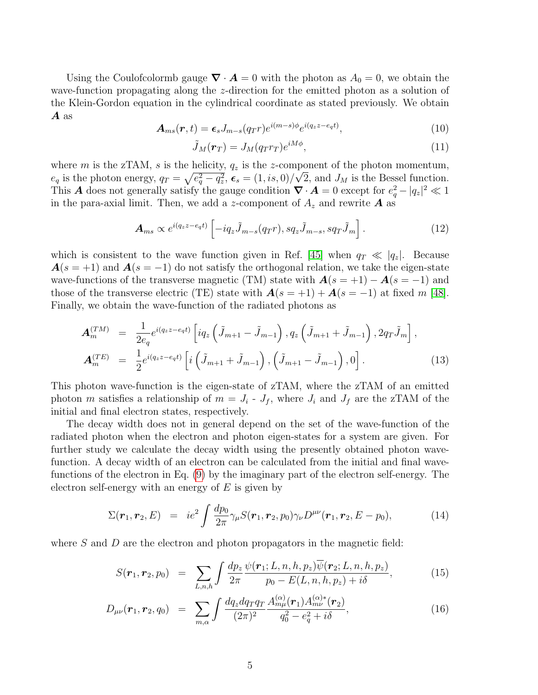Using the Coulofcolormb gauge  $\nabla \cdot \mathbf{A} = 0$  with the photon as  $A_0 = 0$ , we obtain the wave-function propagating along the z-direction for the emitted photon as a solution of the Klein-Gordon equation in the cylindrical coordinate as stated previously. We obtain A as

$$
\mathbf{A}_{ms}(\mathbf{r},t) = \epsilon_s J_{m-s}(q_T r) e^{i(m-s)\phi} e^{i(q_z z - e_q t)},\tag{10}
$$

$$
\tilde{J}_M(\boldsymbol{r}_T) = J_M(q_T r_T) e^{iM\phi},\tag{11}
$$

where m is the zTAM, s is the helicity,  $q_z$  is the z-component of the photon momentum,  $e_q$  is the photon energy,  $q_T = \sqrt{e_q^2 - q_z^2}$ ,  $\epsilon_s = (1, is, 0)/\sqrt{2}$ , and  $J_M$  is the Bessel function. This **A** does not generally satisfy the gauge condition  $\nabla \cdot \mathbf{A} = 0$  except for  $e_q^2 - |q_z|^2 \ll 1$ in the para-axial limit. Then, we add a z-component of  $A_z$  and rewrite  $\boldsymbol{A}$  as

$$
\mathbf{A}_{ms} \propto e^{i(q_z z - e_q t)} \left[ -iq_z \tilde{J}_{m-s}(q_T r), s q_z \tilde{J}_{m-s}, s q_T \tilde{J}_m \right]. \tag{12}
$$

which is consistent to the wave function given in Ref. [\[45\]](#page-11-5) when  $q_T \ll |q_z|$ . Because  $A(s = +1)$  and  $A(s = -1)$  do not satisfy the orthogonal relation, we take the eigen-state wave-functions of the transverse magnetic (TM) state with  $\mathbf{A}(s = +1) - \mathbf{A}(s = -1)$  and those of the transverse electric (TE) state with  $\mathbf{A}(s = +1) + \mathbf{A}(s = -1)$  at fixed m [\[48\]](#page-11-8). Finally, we obtain the wave-function of the radiated photons as

<span id="page-4-0"></span>
$$
\mathbf{A}_{m}^{(TM)} = \frac{1}{2e_{q}} e^{i(q_{z}z - e_{q}t)} \left[ i q_{z} \left( \tilde{J}_{m+1} - \tilde{J}_{m-1} \right), q_{z} \left( \tilde{J}_{m+1} + \tilde{J}_{m-1} \right), 2q_{T} \tilde{J}_{m} \right],
$$
  

$$
\mathbf{A}_{m}^{(TE)} = \frac{1}{2} e^{i(q_{z}z - e_{q}t)} \left[ i \left( \tilde{J}_{m+1} + \tilde{J}_{m-1} \right), \left( \tilde{J}_{m+1} - \tilde{J}_{m-1} \right), 0 \right].
$$
 (13)

This photon wave-function is the eigen-state of zTAM, where the zTAM of an emitted photon m satisfies a relationship of  $m = J_i$  -  $J_f$ , where  $J_i$  and  $J_f$  are the zTAM of the initial and final electron states, respectively.

The decay width does not in general depend on the set of the wave-function of the radiated photon when the electron and photon eigen-states for a system are given. For further study we calculate the decay width using the presently obtained photon wavefunction. A decay width of an electron can be calculated from the initial and final wavefunctions of the electron in Eq. [\(9\)](#page-3-0) by the imaginary part of the electron self-energy. The electron self-energy with an energy of  $E$  is given by

$$
\Sigma(\mathbf{r}_1, \mathbf{r}_2, E) = ie^2 \int \frac{dp_0}{2\pi} \gamma_\mu S(\mathbf{r}_1, \mathbf{r}_2, p_0) \gamma_\nu D^{\mu\nu}(\mathbf{r}_1, \mathbf{r}_2, E - p_0), \tag{14}
$$

where  $S$  and  $D$  are the electron and photon propagators in the magnetic field:

$$
S(\boldsymbol{r}_1, \boldsymbol{r}_2, p_0) = \sum_{L,n,h} \int \frac{dp_z}{2\pi} \frac{\psi(\boldsymbol{r}_1; L,n,h,p_z) \overline{\psi}(\boldsymbol{r}_2; L,n,h,p_z)}{p_0 - E(L,n,h,p_z) + i\delta},
$$
(15)

$$
D_{\mu\nu}(\mathbf{r}_1, \mathbf{r}_2, q_0) = \sum_{m,\alpha} \int \frac{dq_z dq_T q_T}{(2\pi)^2} \frac{A_{m\mu}^{(\alpha)}(\mathbf{r}_1) A_{m\nu}^{(\alpha)*}(\mathbf{r}_2)}{q_0^2 - e_q^2 + i\delta},
$$
(16)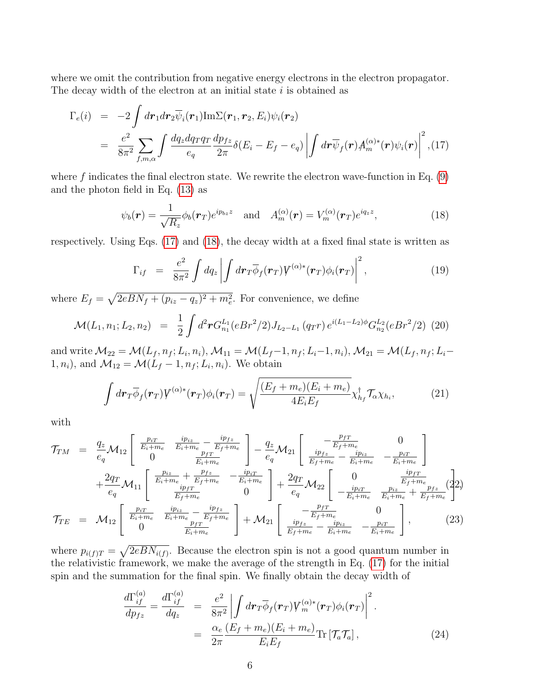where we omit the contribution from negative energy electrons in the electron propagator. The decay width of the electron at an initial state  $i$  is obtained as

<span id="page-5-0"></span>
$$
\Gamma_e(i) = -2 \int dr_1 dr_2 \overline{\psi}_i(\mathbf{r}_1) \text{Im}\Sigma(\mathbf{r}_1, \mathbf{r}_2, E_i) \psi_i(\mathbf{r}_2)
$$
\n
$$
= \frac{e^2}{8\pi^2} \sum_{f,m,\alpha} \int \frac{dq_z dq_T q_T}{e_q} \frac{dp_{fz}}{2\pi} \delta(E_i - E_f - e_q) \left| \int d\mathbf{r} \overline{\psi}_f(\mathbf{r}) A_m^{(\alpha)*}(\mathbf{r}) \psi_i(\mathbf{r}) \right|^2, (17)
$$

where  $f$  indicates the final electron state. We rewrite the electron wave-function in Eq.  $(9)$ and the photon field in Eq. [\(13\)](#page-4-0) as

<span id="page-5-1"></span>
$$
\psi_b(\mathbf{r}) = \frac{1}{\sqrt{R_z}} \phi_b(\mathbf{r}_T) e^{ip_{bz}z} \quad \text{and} \quad A_m^{(\alpha)}(\mathbf{r}) = V_m^{(\alpha)}(\mathbf{r}_T) e^{iq_z z}, \tag{18}
$$

respectively. Using Eqs. [\(17\)](#page-5-0) and [\(18\)](#page-5-1), the decay width at a fixed final state is written as

$$
\Gamma_{if} = \frac{e^2}{8\pi^2} \int dq_z \left| \int d\mathbf{r}_T \overline{\phi}_f(\mathbf{r}_T) V^{(\alpha)*}(\mathbf{r}_T) \phi_i(\mathbf{r}_T) \right|^2, \tag{19}
$$

where  $E_f = \sqrt{2eBN_f + (p_{iz} - q_z)^2 + m_e^2}$ . For convenience, we define

$$
\mathcal{M}(L_1, n_1; L_2, n_2) = \frac{1}{2} \int d^2 \mathbf{r} G_{n_1}^{L_1}(eBr^2/2) J_{L_2 - L_1}(q_T r) e^{i(L_1 - L_2)\phi} G_{n_2}^{L_2}(eBr^2/2)
$$
 (20)

and write  $\mathcal{M}_{22} = \mathcal{M}(L_f, n_f; L_i, n_i), \mathcal{M}_{11} = \mathcal{M}(L_f - 1, n_f; L_i - 1, n_i), \mathcal{M}_{21} = \mathcal{M}(L_f, n_f; L_i - 1, n_i)$  $1, n_i$ , and  $\mathcal{M}_{12} = \mathcal{M}(L_f - 1, n_f; L_i, n_i)$ . We obtain

$$
\int d\mathbf{r}_{T}\overline{\phi}_{f}(\mathbf{r}_{T})V^{(\alpha)*}(\mathbf{r}_{T})\phi_{i}(\mathbf{r}_{T}) = \sqrt{\frac{(E_{f}+m_{e})(E_{i}+m_{e})}{4E_{i}E_{f}}}\chi_{h_{f}}^{\dagger}\mathcal{T}_{\alpha}\chi_{h_{i}},
$$
\n(21)

with

$$
\mathcal{T}_{TM} = \frac{q_z}{e_q} \mathcal{M}_{12} \begin{bmatrix} \frac{p_{iT}}{E_i + m_e} & \frac{ip_{iz}}{E_i + m_e} - \frac{ip_{fx}}{E_f + m_e} \\ 0 & \frac{p_{fT}}{E_i + m_e} \end{bmatrix} - \frac{q_z}{e_q} \mathcal{M}_{21} \begin{bmatrix} -\frac{p_{fT}}{E_f + m_e} & 0 \\ \frac{ip_{fz}}{E_f + m_e} - \frac{ip_{iz}}{E_i + m_e} & -\frac{p_{iT}}{E_i + m_e} \end{bmatrix} \\ + \frac{2q_T}{e_q} \mathcal{M}_{11} \begin{bmatrix} \frac{p_{iz}}{E_i + m_e} + \frac{p_{fx}}{E_f + m_e} & -\frac{ip_{iT}}{E_i + m_e} \\ \frac{ip_{fT}}{E_f + m_e} & 0 \end{bmatrix} + \frac{2q_T}{e_q} \mathcal{M}_{22} \begin{bmatrix} 0 & \frac{ip_{fT}}{E_f + m_e} \\ -\frac{ip_{iT}}{E_i + m_e} & \frac{p_{iz}}{E_i + m_e} + \frac{p_{fz}}{E_f + m_e} \end{bmatrix} \tag{22}
$$
  

$$
\mathcal{T}_{TE} = \mathcal{M}_{12} \begin{bmatrix} \frac{p_{iT}}{E_i + m_e} & \frac{ip_{iz}}{E_i + m_e} - \frac{ip_{fx}}{E_f + m_e} \\ 0 & \frac{p_{fT}}{E_i + m_e} \end{bmatrix} + \mathcal{M}_{21} \begin{bmatrix} -\frac{p_{fT}}{E_f + m_e} & 0 \\ \frac{ip_{fz}}{E_f + m_e} - \frac{ip_{iz}}{E_i + m_e} & -\frac{p_{iT}}{E_i + m_e} \end{bmatrix}, \tag{23}
$$

where  $p_{i(f)T} = \sqrt{2eBN_{i(f)}}$ . Because the electron spin is not a good quantum number in the relativistic framework, we make the average of the strength in Eq. [\(17\)](#page-5-0) for the initial spin and the summation for the final spin. We finally obtain the decay width of

<span id="page-5-2"></span>
$$
\frac{d\Gamma_{if}^{(a)}}{dp_{fz}} = \frac{d\Gamma_{if}^{(a)}}{dq_z} = \frac{e^2}{8\pi^2} \left| \int d\boldsymbol{r}_T \overline{\phi}_f(\boldsymbol{r}_T) V_m^{(\alpha)*}(\boldsymbol{r}_T) \phi_i(\boldsymbol{r}_T) \right|^2.
$$
\n
$$
= \frac{\alpha_e}{2\pi} \frac{(E_f + m_e)(E_i + m_e)}{E_i E_f} \text{Tr} \left[ \mathcal{T}_a \mathcal{T}_a \right], \tag{24}
$$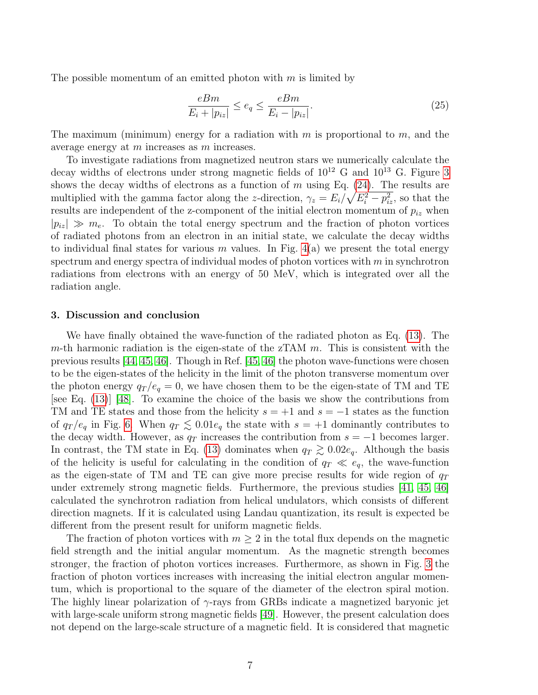The possible momentum of an emitted photon with  $m$  is limited by

<span id="page-6-0"></span>
$$
\frac{eBm}{E_i + |p_{iz}|} \le e_q \le \frac{eBm}{E_i - |p_{iz}|}.\tag{25}
$$

The maximum (minimum) energy for a radiation with  $m$  is proportional to  $m$ , and the average energy at m increases as m increases.

To investigate radiations from magnetized neutron stars we numerically calculate the decay widths of electrons under strong magnetic fields of  $10^{12}$  G and  $10^{13}$  G. Figure [3](#page-15-0) shows the decay widths of electrons as a function of  $m$  using Eq. [\(24\)](#page-5-2). The results are multiplied with the gamma factor along the z-direction,  $\gamma_z = E_i / \sqrt{E_i^2 - p_{iz}^2}$ , so that the results are independent of the z-component of the initial electron momentum of  $p_{iz}$  when  $|p_{iz}| \gg m_e$ . To obtain the total energy spectrum and the fraction of photon vortices of radiated photons from an electron in an initial state, we calculate the decay widths to individual final states for various m values. In Fig.  $4(a)$  we present the total energy spectrum and energy spectra of individual modes of photon vortices with  $m$  in synchrotron radiations from electrons with an energy of 50 MeV, which is integrated over all the radiation angle.

## 3. Discussion and conclusion

We have finally obtained the wave-function of the radiated photon as Eq. [\(13\)](#page-4-0). The m-th harmonic radiation is the eigen-state of the zTAM  $m$ . This is consistent with the previous results [\[44,](#page-11-4) [45,](#page-11-5) [46\]](#page-11-6). Though in Ref. [\[45,](#page-11-5) [46\]](#page-11-6) the photon wave-functions were chosen to be the eigen-states of the helicity in the limit of the photon transverse momentum over the photon energy  $q_T / e_q = 0$ , we have chosen them to be the eigen-state of TM and TE [see Eq. [\(13\)](#page-4-0)] [\[48\]](#page-11-8). To examine the choice of the basis we show the contributions from TM and TE states and those from the helicity  $s = +1$  and  $s = -1$  states as the function of  $q_T / e_q$  in Fig. [6.](#page-18-0) When  $q_T \lesssim 0.01e_q$  the state with  $s = +1$  dominantly contributes to the decay width. However, as  $q_T$  increases the contribution from  $s = -1$  becomes larger. In contrast, the TM state in Eq. [\(13\)](#page-4-0) dominates when  $q_T \gtrsim 0.02e_q$ . Although the basis of the helicity is useful for calculating in the condition of  $q_T \ll e_q$ , the wave-function as the eigen-state of TM and TE can give more precise results for wide region of  $q_T$ under extremely strong magnetic fields. Furthermore, the previous studies [\[41,](#page-11-1) [45,](#page-11-5) [46\]](#page-11-6) calculated the synchrotron radiation from helical undulators, which consists of different direction magnets. If it is calculated using Landau quantization, its result is expected be different from the present result for uniform magnetic fields.

The fraction of photon vortices with  $m \geq 2$  in the total flux depends on the magnetic field strength and the initial angular momentum. As the magnetic strength becomes stronger, the fraction of photon vortices increases. Furthermore, as shown in Fig. [3](#page-15-0) the fraction of photon vortices increases with increasing the initial electron angular momentum, which is proportional to the square of the diameter of the electron spiral motion. The highly linear polarization of  $\gamma$ -rays from GRBs indicate a magnetized baryonic jet with large-scale uniform strong magnetic fields [\[49\]](#page-11-9). However, the present calculation does not depend on the large-scale structure of a magnetic field. It is considered that magnetic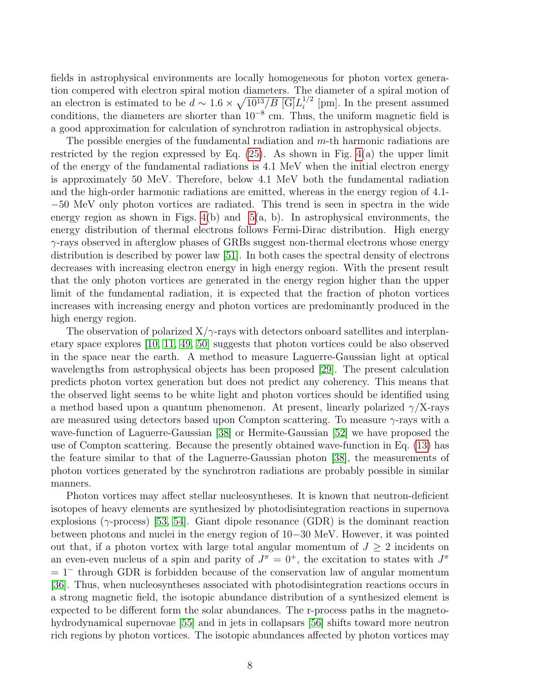fields in astrophysical environments are locally homogeneous for photon vortex generation compered with electron spiral motion diameters. The diameter of a spiral motion of an electron is estimated to be  $d \sim 1.6 \times \sqrt{10^{13}/B}$  [G] $L_i^{1/2}$  $i^{1/2}$  [pm]. In the present assumed conditions, the diameters are shorter than 10<sup>−</sup><sup>8</sup> cm. Thus, the uniform magnetic field is a good approximation for calculation of synchrotron radiation in astrophysical objects.

The possible energies of the fundamental radiation and m-th harmonic radiations are restricted by the region expressed by Eq.  $(25)$ . As shown in Fig.  $4(a)$  the upper limit of the energy of the fundamental radiations is 4.1 MeV when the initial electron energy is approximately 50 MeV. Therefore, below 4.1 MeV both the fundamental radiation and the high-order harmonic radiations are emitted, whereas in the energy region of 4.1- −50 MeV only photon vortices are radiated. This trend is seen in spectra in the wide energy region as shown in Figs.  $4(b)$  and  $5(a, b)$ . In astrophysical environments, the energy distribution of thermal electrons follows Fermi-Dirac distribution. High energy  $\gamma$ -rays observed in afterglow phases of GRBs suggest non-thermal electrons whose energy distribution is described by power law [\[51\]](#page-11-10). In both cases the spectral density of electrons decreases with increasing electron energy in high energy region. With the present result that the only photon vortices are generated in the energy region higher than the upper limit of the fundamental radiation, it is expected that the fraction of photon vortices increases with increasing energy and photon vortices are predominantly produced in the high energy region.

The observation of polarized  $X/\gamma$ -rays with detectors onboard satellites and interplanetary space explores [\[10,](#page-9-3) [11,](#page-9-4) [49,](#page-11-9) [50\]](#page-11-11) suggests that photon vortices could be also observed in the space near the earth. A method to measure Laguerre-Gaussian light at optical wavelengths from astrophysical objects has been proposed [\[29\]](#page-10-4). The present calculation predicts photon vortex generation but does not predict any coherency. This means that the observed light seems to be white light and photon vortices should be identified using a method based upon a quantum phenomenon. At present, linearly polarized  $\gamma/X$ -rays are measured using detectors based upon Compton scattering. To measure  $\gamma$ -rays with a wave-function of Laguerre-Gaussian [\[38\]](#page-10-13) or Hermite-Gaussian [\[52\]](#page-11-12) we have proposed the use of Compton scattering. Because the presently obtained wave-function in Eq. [\(13\)](#page-4-0) has the feature similar to that of the Laguerre-Gaussian photon [\[38\]](#page-10-13), the measurements of photon vortices generated by the synchrotron radiations are probably possible in similar manners.

Photon vortices may affect stellar nucleosyntheses. It is known that neutron-deficient isotopes of heavy elements are synthesized by photodisintegration reactions in supernova explosions ( $\gamma$ -process) [\[53,](#page-11-13) [54\]](#page-11-14). Giant dipole resonance (GDR) is the dominant reaction between photons and nuclei in the energy region of 10−30 MeV. However, it was pointed out that, if a photon vortex with large total angular momentum of  $J \geq 2$  incidents on an even-even nucleus of a spin and parity of  $J^{\pi} = 0^{+}$ , the excitation to states with  $J^{\pi}$  $= 1^-$  through GDR is forbidden because of the conservation law of angular momentum [\[36\]](#page-10-11). Thus, when nucleosyntheses associated with photodisintegration reactions occurs in a strong magnetic field, the isotopic abundance distribution of a synthesized element is expected to be different form the solar abundances. The r-process paths in the magnetohydrodynamical supernovae [\[55\]](#page-11-15) and in jets in collapsars [\[56\]](#page-11-16) shifts toward more neutron rich regions by photon vortices. The isotopic abundances affected by photon vortices may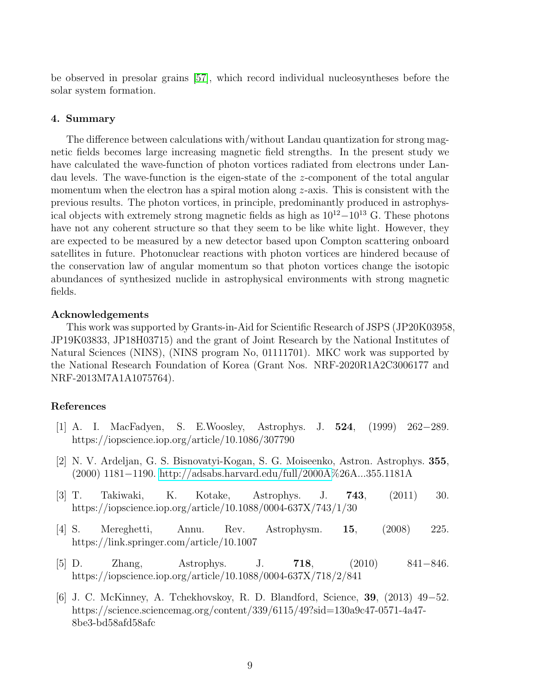be observed in presolar grains [\[57\]](#page-12-0), which record individual nucleosyntheses before the solar system formation.

## 4. Summary

The difference between calculations with/without Landau quantization for strong magnetic fields becomes large increasing magnetic field strengths. In the present study we have calculated the wave-function of photon vortices radiated from electrons under Landau levels. The wave-function is the eigen-state of the z-component of the total angular momentum when the electron has a spiral motion along  $z$ -axis. This is consistent with the previous results. The photon vortices, in principle, predominantly produced in astrophysical objects with extremely strong magnetic fields as high as  $10^{12}-10^{13}$  G. These photons have not any coherent structure so that they seem to be like white light. However, they are expected to be measured by a new detector based upon Compton scattering onboard satellites in future. Photonuclear reactions with photon vortices are hindered because of the conservation law of angular momentum so that photon vortices change the isotopic abundances of synthesized nuclide in astrophysical environments with strong magnetic fields.

## Acknowledgements

This work was supported by Grants-in-Aid for Scientific Research of JSPS (JP20K03958, JP19K03833, JP18H03715) and the grant of Joint Research by the National Institutes of Natural Sciences (NINS), (NINS program No, 01111701). MKC work was supported by the National Research Foundation of Korea (Grant Nos. NRF-2020R1A2C3006177 and NRF-2013M7A1A1075764).

## References

- <span id="page-8-0"></span>[1] A. I. MacFadyen, S. E.Woosley, Astrophys. J. 524, (1999) 262−289. https://iopscience.iop.org/article/10.1086/307790
- <span id="page-8-1"></span>[2] N. V. Ardeljan, G. S. Bisnovatyi-Kogan, S. G. Moiseenko, Astron. Astrophys. 355, (2000) 1181−1190. [http://adsabs.harvard.edu/full/2000A%](http://adsabs.harvard.edu/full/2000A)26A...355.1181A
- <span id="page-8-2"></span>[3] T. Takiwaki, K. Kotake, Astrophys. J. 743, (2011) 30. https://iopscience.iop.org/article/10.1088/0004-637X/743/1/30
- <span id="page-8-3"></span>[4] S. Mereghetti, Annu. Rev. Astrophysm. 15, (2008) 225. https://link.springer.com/article/10.1007
- <span id="page-8-4"></span>[5] D. Zhang, Astrophys. J. 718, (2010) 841−846. https://iopscience.iop.org/article/10.1088/0004-637X/718/2/841
- <span id="page-8-5"></span>[6] J. C. McKinney, A. Tchekhovskoy, R. D. Blandford, Science, 39, (2013) 49−52. https://science.sciencemag.org/content/339/6115/49?sid=130a9c47-0571-4a47- 8be3-bd58afd58afc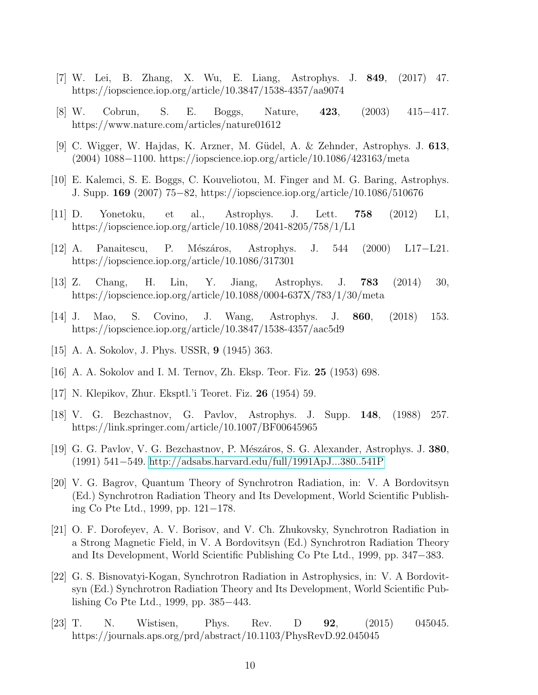- <span id="page-9-0"></span>[7] W. Lei, B. Zhang, X. Wu, E. Liang, Astrophys. J. 849, (2017) 47. https://iopscience.iop.org/article/10.3847/1538-4357/aa9074
- <span id="page-9-1"></span>[8] W. Cobrun, S. E. Boggs, Nature, 423, (2003) 415−417. https://www.nature.com/articles/nature01612
- <span id="page-9-2"></span>[9] C. Wigger, W. Hajdas, K. Arzner, M. G¨udel, A. & Zehnder, Astrophys. J. 613, (2004) 1088−1100. https://iopscience.iop.org/article/10.1086/423163/meta
- <span id="page-9-3"></span>[10] E. Kalemci, S. E. Boggs, C. Kouveliotou, M. Finger and M. G. Baring, Astrophys. J. Supp. 169 (2007) 75−82, https://iopscience.iop.org/article/10.1086/510676
- <span id="page-9-4"></span>[11] D. Yonetoku, et al., Astrophys. J. Lett. 758 (2012) L1, https://iopscience.iop.org/article/10.1088/2041-8205/758/1/L1
- <span id="page-9-5"></span>[12] A. Panaitescu, P. M´esz´aros, Astrophys. J. 544 (2000) L17−L21. https://iopscience.iop.org/article/10.1086/317301
- <span id="page-9-6"></span>[13] Z. Chang, H. Lin, Y. Jiang, Astrophys. J. 783 (2014) 30, https://iopscience.iop.org/article/10.1088/0004-637X/783/1/30/meta
- <span id="page-9-7"></span>[14] J. Mao, S. Covino, J. Wang, Astrophys. J. 860, (2018) 153. https://iopscience.iop.org/article/10.3847/1538-4357/aac5d9
- <span id="page-9-8"></span>[15] A. A. Sokolov, J. Phys. USSR, 9 (1945) 363.
- <span id="page-9-9"></span>[16] A. A. Sokolov and I. M. Ternov, Zh. Eksp. Teor. Fiz. 25 (1953) 698.
- <span id="page-9-10"></span>[17] N. Klepikov, Zhur. Eksptl.'i Teoret. Fiz. 26 (1954) 59.
- <span id="page-9-11"></span>[18] V. G. Bezchastnov, G. Pavlov, Astrophys. J. Supp. 148, (1988) 257. https://link.springer.com/article/10.1007/BF00645965
- <span id="page-9-12"></span>[19] G. G. Pavlov, V. G. Bezchastnov, P. Mészáros, S. G. Alexander, Astrophys. J. 380, (1991) 541−549.<http://adsabs.harvard.edu/full/1991ApJ...380..541P>
- <span id="page-9-13"></span>[20] V. G. Bagrov, Quantum Theory of Synchrotron Radiation, in: V. A Bordovitsyn (Ed.) Synchrotron Radiation Theory and Its Development, World Scientific Publishing Co Pte Ltd., 1999, pp. 121−178.
- <span id="page-9-14"></span>[21] O. F. Dorofeyev, A. V. Borisov, and V. Ch. Zhukovsky, Synchrotron Radiation in a Strong Magnetic Field, in V. A Bordovitsyn (Ed.) Synchrotron Radiation Theory and Its Development, World Scientific Publishing Co Pte Ltd., 1999, pp. 347−383.
- <span id="page-9-15"></span>[22] G. S. Bisnovatyi-Kogan, Synchrotron Radiation in Astrophysics, in: V. A Bordovitsyn (Ed.) Synchrotron Radiation Theory and Its Development, World Scientific Publishing Co Pte Ltd., 1999, pp. 385−443.
- <span id="page-9-16"></span>[23] T. N. Wistisen, Phys. Rev. D **92**, (2015) 045045. https://journals.aps.org/prd/abstract/10.1103/PhysRevD.92.045045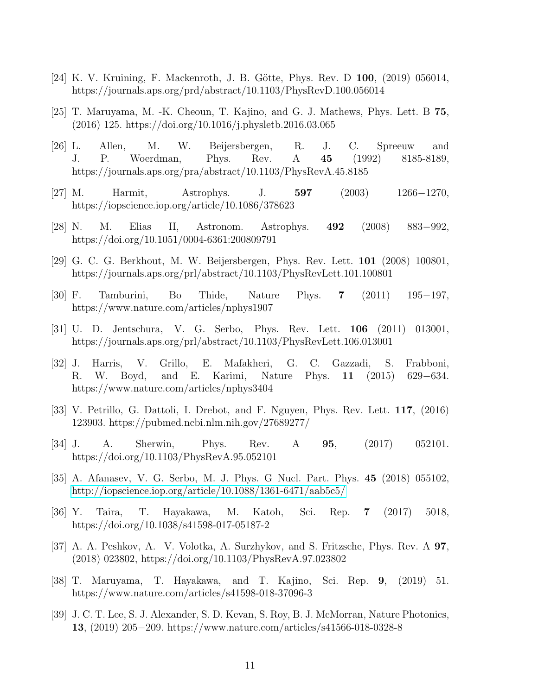- <span id="page-10-0"></span>[24] K. V. Kruining, F. Mackenroth, J. B. Götte, Phys. Rev. D  $100$ , (2019) 056014, https://journals.aps.org/prd/abstract/10.1103/PhysRevD.100.056014
- <span id="page-10-15"></span>[25] T. Maruyama, M. -K. Cheoun, T. Kajino, and G. J. Mathews, Phys. Lett. B 75, (2016) 125. https://doi.org/10.1016/j.physletb.2016.03.065
- <span id="page-10-1"></span>[26] L. Allen, M. W. Beijersbergen, R. J. C. Spreeuw and J. P. Woerdman, Phys. Rev. A 45 (1992) 8185-8189, https://journals.aps.org/pra/abstract/10.1103/PhysRevA.45.8185
- <span id="page-10-2"></span>[27] M. Harmit, Astrophys. J. 597 (2003) 1266−1270, https://iopscience.iop.org/article/10.1086/378623
- <span id="page-10-3"></span>[28] N. M. Elias II, Astronom. Astrophys. 492 (2008) 883−992, https://doi.org/10.1051/0004-6361:200809791
- <span id="page-10-4"></span>[29] G. C. G. Berkhout, M. W. Beijersbergen, Phys. Rev. Lett. 101 (2008) 100801, https://journals.aps.org/prl/abstract/10.1103/PhysRevLett.101.100801
- <span id="page-10-5"></span>[30] F. Tamburini, Bo Thide, Nature Phys. 7 (2011) 195−197, https://www.nature.com/articles/nphys1907
- <span id="page-10-6"></span>[31] U. D. Jentschura, V. G. Serbo, Phys. Rev. Lett. 106 (2011) 013001, https://journals.aps.org/prl/abstract/10.1103/PhysRevLett.106.013001
- <span id="page-10-7"></span>[32] J. Harris, V. Grillo, E. Mafakheri, G. C. Gazzadi, S. Frabboni, R. W. Boyd, and E. Karimi, Nature Phys. 11 (2015) 629−634. https://www.nature.com/articles/nphys3404
- <span id="page-10-8"></span>[33] V. Petrillo, G. Dattoli, I. Drebot, and F. Nguyen, Phys. Rev. Lett. 117, (2016) 123903. https://pubmed.ncbi.nlm.nih.gov/27689277/
- <span id="page-10-9"></span>[34] J. A. Sherwin, Phys. Rev. A 95, (2017) 052101. https://doi.org/10.1103/PhysRevA.95.052101
- <span id="page-10-10"></span>[35] A. Afanasev, V. G. Serbo, M. J. Phys. G Nucl. Part. Phys. 45 (2018) 055102, <http://iopscience.iop.org/article/10.1088/1361-6471/aab5c5/>
- <span id="page-10-11"></span>[36] Y. Taira, T. Hayakawa, M. Katoh, Sci. Rep. 7 (2017) 5018, https://doi.org/10.1038/s41598-017-05187-2
- <span id="page-10-12"></span>[37] A. A. Peshkov, A. V. Volotka, A. Surzhykov, and S. Fritzsche, Phys. Rev. A 97, (2018) 023802, https://doi.org/10.1103/PhysRevA.97.023802
- <span id="page-10-13"></span>[38] T. Maruyama, T. Hayakawa, and T. Kajino, Sci. Rep. 9, (2019) 51. https://www.nature.com/articles/s41598-018-37096-3
- <span id="page-10-14"></span>[39] J. C. T. Lee, S. J. Alexander, S. D. Kevan, S. Roy, B. J. McMorran, Nature Photonics, 13, (2019) 205−209. https://www.nature.com/articles/s41566-018-0328-8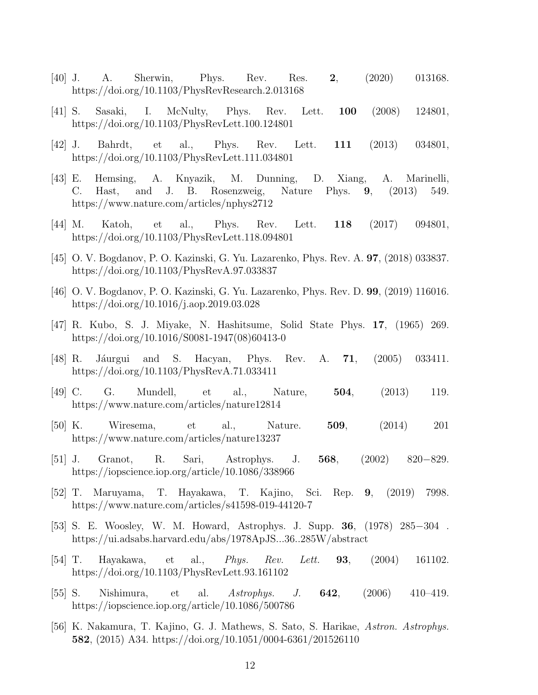- <span id="page-11-0"></span>[40] J. A. Sherwin, Phys. Rev. Res. 2, (2020) 013168. https://doi.org/10.1103/PhysRevResearch.2.013168
- <span id="page-11-1"></span>[41] S. Sasaki, I. McNulty, Phys. Rev. Lett. 100 (2008) 124801, https://doi.org/10.1103/PhysRevLett.100.124801
- <span id="page-11-2"></span>[42] J. Bahrdt, et al., Phys. Rev. Lett. 111 (2013) 034801, https://doi.org/10.1103/PhysRevLett.111.034801
- <span id="page-11-3"></span>[43] E. Hemsing, A. Knyazik, M. Dunning, D. Xiang, A. Marinelli, C. Hast, and J. B. Rosenzweig, Nature Phys. 9, (2013) 549. https://www.nature.com/articles/nphys2712
- <span id="page-11-4"></span>[44] M. Katoh, et al., Phys. Rev. Lett. 118 (2017) 094801, https://doi.org/10.1103/PhysRevLett.118.094801
- <span id="page-11-5"></span>[45] O. V. Bogdanov, P. O. Kazinski, G. Yu. Lazarenko, Phys. Rev. A. 97, (2018) 033837. https://doi.org/10.1103/PhysRevA.97.033837
- <span id="page-11-6"></span>[46] O. V. Bogdanov, P. O. Kazinski, G. Yu. Lazarenko, Phys. Rev. D. 99, (2019) 116016. https://doi.org/10.1016/j.aop.2019.03.028
- <span id="page-11-7"></span>[47] R. Kubo, S. J. Miyake, N. Hashitsume, Solid State Phys. 17, (1965) 269. https://doi.org/10.1016/S0081-1947(08)60413-0
- <span id="page-11-8"></span>[48] R. Jáurgui and S. Hacyan, Phys. Rev. A. **71**, (2005) 033411. https://doi.org/10.1103/PhysRevA.71.033411
- <span id="page-11-9"></span>[49] C. G. Mundell, et al., Nature, 504, (2013) 119. https://www.nature.com/articles/nature12814
- <span id="page-11-11"></span>[50] K. Wiresema, et al., Nature. 509, (2014) 201 https://www.nature.com/articles/nature13237
- <span id="page-11-10"></span>[51] J. Granot, R. Sari, Astrophys. J. 568, (2002) 820−829. https://iopscience.iop.org/article/10.1086/338966
- <span id="page-11-12"></span>[52] T. Maruyama, T. Hayakawa, T. Kajino, Sci. Rep. 9, (2019) 7998. https://www.nature.com/articles/s41598-019-44120-7
- <span id="page-11-13"></span>[53] S. E. Woosley, W. M. Howard, Astrophys. J. Supp. 36, (1978) 285−304 . https://ui.adsabs.harvard.edu/abs/1978ApJS...36..285W/abstract
- <span id="page-11-14"></span>[54] T. Hayakawa, et al., Phys. Rev. Lett. 93, (2004) 161102. https://doi.org/10.1103/PhysRevLett.93.161102
- <span id="page-11-15"></span>[55] S. Nishimura, et al. Astrophys. J. 642, (2006) 410–419. https://iopscience.iop.org/article/10.1086/500786
- <span id="page-11-16"></span>[56] K. Nakamura, T. Kajino, G. J. Mathews, S. Sato, S. Harikae, Astron. Astrophys. 582, (2015) A34. https://doi.org/10.1051/0004-6361/201526110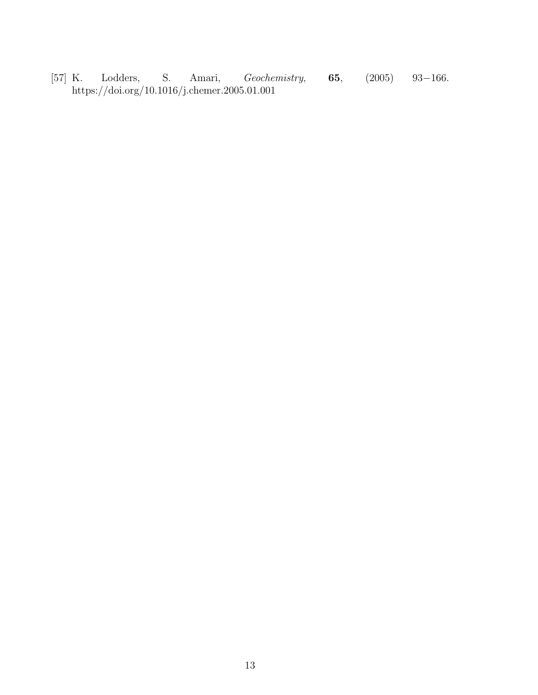<span id="page-12-0"></span>[57] K. Lodders, S. Amari, Geochemistry, 65, (2005) 93−166. https://doi.org/10.1016/j.chemer.2005.01.001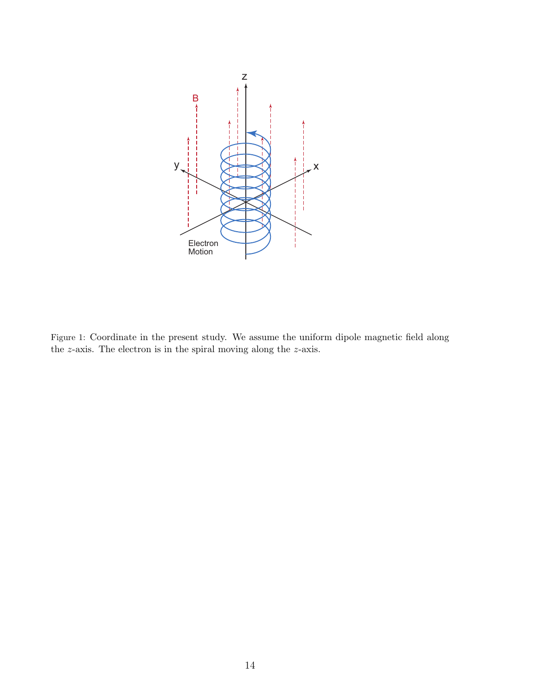

<span id="page-13-0"></span>Figure 1: Coordinate in the present study. We assume the uniform dipole magnetic field along the z-axis. The electron is in the spiral moving along the z-axis.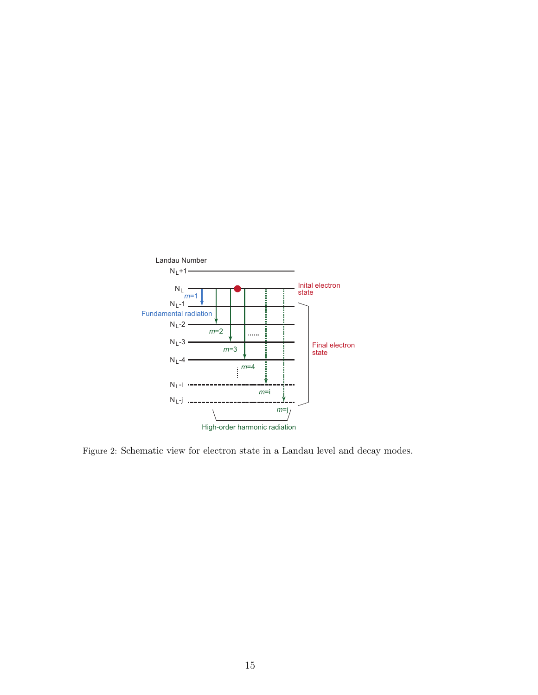

Figure 2: Schematic view for electron state in a Landau level and decay modes.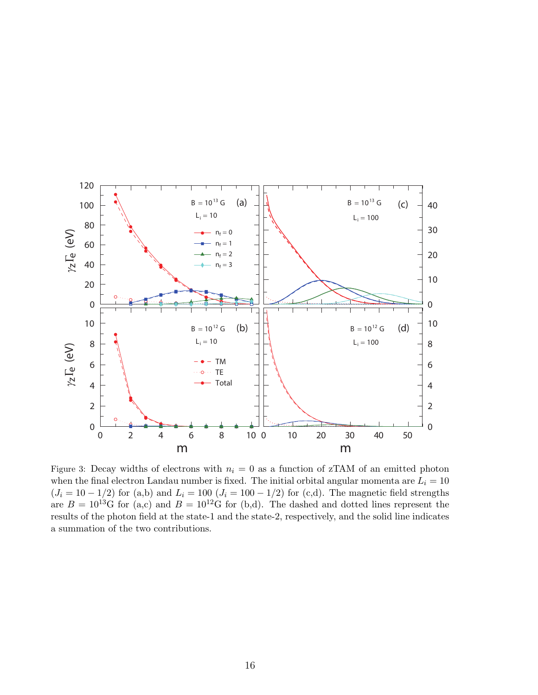

<span id="page-15-0"></span>Figure 3: Decay widths of electrons with  $n_i = 0$  as a function of zTAM of an emitted photon when the final electron Landau number is fixed. The initial orbital angular momenta are  $L<sub>i</sub> = 10$  $(J_i = 10 - 1/2)$  for (a,b) and  $L_i = 100 (J_i = 100 - 1/2)$  for (c,d). The magnetic field strengths are  $B = 10^{13}$ G for (a,c) and  $B = 10^{12}$ G for (b,d). The dashed and dotted lines represent the results of the photon field at the state-1 and the state-2, respectively, and the solid line indicates a summation of the two contributions.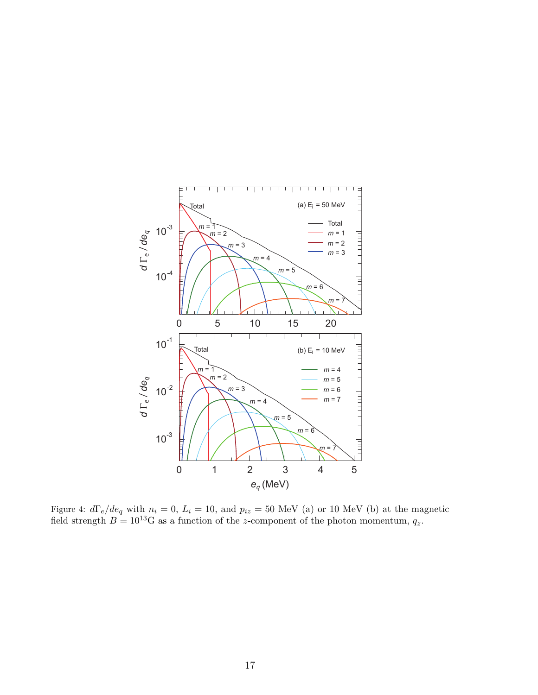

<span id="page-16-0"></span>Figure 4:  $d\Gamma_e/de_q$  with  $n_i = 0$ ,  $L_i = 10$ , and  $p_{iz} = 50$  MeV (a) or 10 MeV (b) at the magnetic field strength  $B = 10^{13}$ G as a function of the z-component of the photon momentum,  $q_z$ .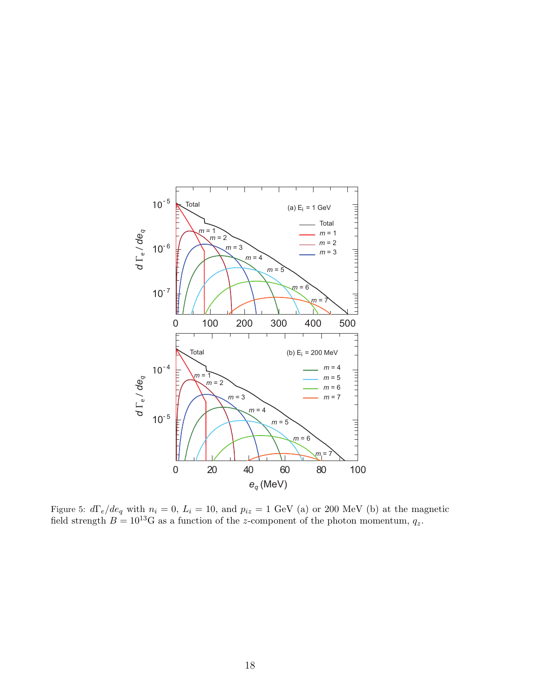

<span id="page-17-0"></span>Figure 5:  $d\Gamma_e/de_q$  with  $n_i = 0$ ,  $L_i = 10$ , and  $p_{iz} = 1$  GeV (a) or 200 MeV (b) at the magnetic field strength  $B = 10^{13}$ G as a function of the z-component of the photon momentum,  $q_z$ .